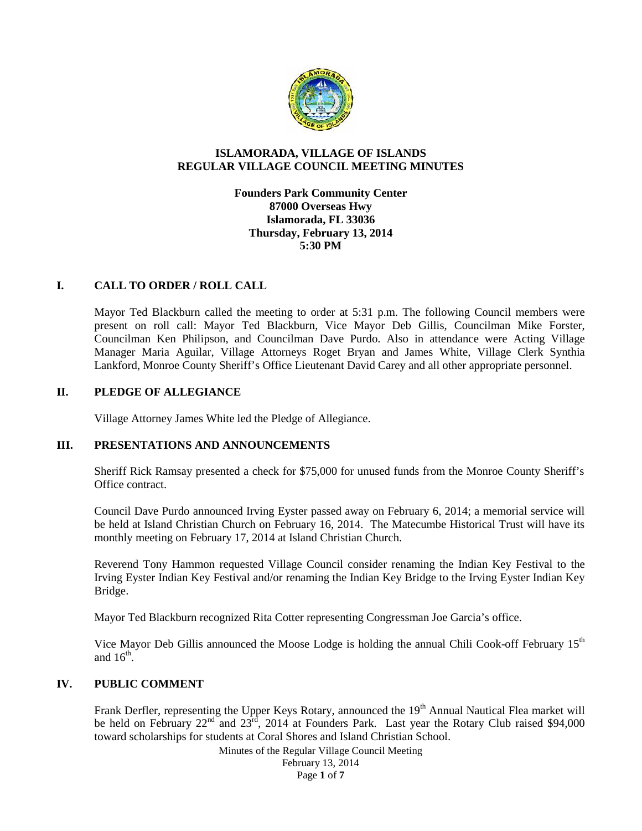

# **ISLAMORADA, VILLAGE OF ISLANDS REGULAR VILLAGE COUNCIL MEETING MINUTES**

# **Founders Park Community Center 87000 Overseas Hwy Islamorada, FL 33036 Thursday, February 13, 2014 5:30 PM**

# **I. CALL TO ORDER / ROLL CALL**

Mayor Ted Blackburn called the meeting to order at 5:31 p.m. The following Council members were present on roll call: Mayor Ted Blackburn, Vice Mayor Deb Gillis, Councilman Mike Forster, Councilman Ken Philipson, and Councilman Dave Purdo. Also in attendance were Acting Village Manager Maria Aguilar, Village Attorneys Roget Bryan and James White, Village Clerk Synthia Lankford, Monroe County Sheriff's Office Lieutenant David Carey and all other appropriate personnel.

# **II. PLEDGE OF ALLEGIANCE**

Village Attorney James White led the Pledge of Allegiance.

# **III. PRESENTATIONS AND ANNOUNCEMENTS**

Sheriff Rick Ramsay presented a check for \$75,000 for unused funds from the Monroe County Sheriff's Office contract.

Council Dave Purdo announced Irving Eyster passed away on February 6, 2014; a memorial service will be held at Island Christian Church on February 16, 2014. The Matecumbe Historical Trust will have its monthly meeting on February 17, 2014 at Island Christian Church.

Reverend Tony Hammon requested Village Council consider renaming the Indian Key Festival to the Irving Eyster Indian Key Festival and/or renaming the Indian Key Bridge to the Irving Eyster Indian Key Bridge.

Mayor Ted Blackburn recognized Rita Cotter representing Congressman Joe Garcia's office.

Vice Mayor Deb Gillis announced the Moose Lodge is holding the annual Chili Cook-off February 15<sup>th</sup> and  $16^{\text{th}}$ .

# **IV. PUBLIC COMMENT**

Frank Derfler, representing the Upper Keys Rotary, announced the 19<sup>th</sup> Annual Nautical Flea market will be held on February  $22^{nd}$  and  $23^{rd}$ , 2014 at Founders Park. Last year the Rotary Club raised \$94,000 toward scholarships for students at Coral Shores and Island Christian School.

Minutes of the Regular Village Council Meeting

February 13, 2014 Page **1** of **7**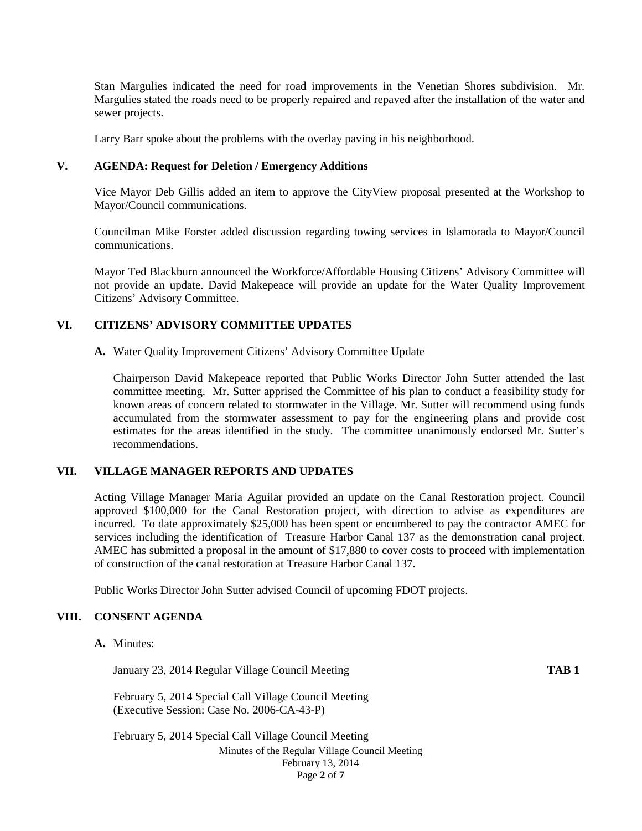Stan Margulies indicated the need for road improvements in the Venetian Shores subdivision. Mr. Margulies stated the roads need to be properly repaired and repaved after the installation of the water and sewer projects.

Larry Barr spoke about the problems with the overlay paving in his neighborhood.

### **V. AGENDA: Request for Deletion / Emergency Additions**

Vice Mayor Deb Gillis added an item to approve the CityView proposal presented at the Workshop to Mayor/Council communications.

Councilman Mike Forster added discussion regarding towing services in Islamorada to Mayor/Council communications.

Mayor Ted Blackburn announced the Workforce/Affordable Housing Citizens' Advisory Committee will not provide an update. David Makepeace will provide an update for the Water Quality Improvement Citizens' Advisory Committee.

# **VI. CITIZENS' ADVISORY COMMITTEE UPDATES**

**A.** Water Quality Improvement Citizens' Advisory Committee Update

Chairperson David Makepeace reported that Public Works Director John Sutter attended the last committee meeting. Mr. Sutter apprised the Committee of his plan to conduct a feasibility study for known areas of concern related to stormwater in the Village. Mr. Sutter will recommend using funds accumulated from the stormwater assessment to pay for the engineering plans and provide cost estimates for the areas identified in the study. The committee unanimously endorsed Mr. Sutter's recommendations.

# **VII. VILLAGE MANAGER REPORTS AND UPDATES**

Acting Village Manager Maria Aguilar provided an update on the Canal Restoration project. Council approved \$100,000 for the Canal Restoration project, with direction to advise as expenditures are incurred. To date approximately \$25,000 has been spent or encumbered to pay the contractor AMEC for services including the identification of Treasure Harbor Canal 137 as the demonstration canal project. AMEC has submitted a proposal in the amount of \$17,880 to cover costs to proceed with implementation of construction of the canal restoration at Treasure Harbor Canal 137.

Public Works Director John Sutter advised Council of upcoming FDOT projects.

# **VIII. CONSENT AGENDA**

**A.** Minutes:

January 23, 2014 Regular Village Council Meeting **TAB 1**

February 5, 2014 Special Call Village Council Meeting (Executive Session: Case No. 2006-CA-43-P)

Minutes of the Regular Village Council Meeting February 13, 2014 Page **2** of **7** February 5, 2014 Special Call Village Council Meeting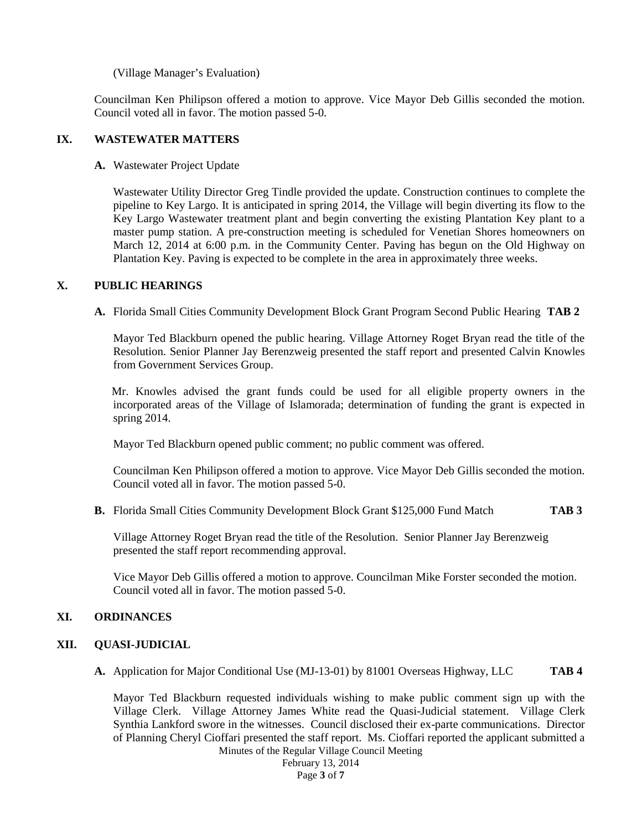(Village Manager's Evaluation)

Councilman Ken Philipson offered a motion to approve. Vice Mayor Deb Gillis seconded the motion. Council voted all in favor. The motion passed 5-0.

# **IX. WASTEWATER MATTERS**

**A.** Wastewater Project Update

Wastewater Utility Director Greg Tindle provided the update. Construction continues to complete the pipeline to Key Largo. It is anticipated in spring 2014, the Village will begin diverting its flow to the Key Largo Wastewater treatment plant and begin converting the existing Plantation Key plant to a master pump station. A pre-construction meeting is scheduled for Venetian Shores homeowners on March 12, 2014 at 6:00 p.m. in the Community Center. Paving has begun on the Old Highway on Plantation Key. Paving is expected to be complete in the area in approximately three weeks.

# **X. PUBLIC HEARINGS**

**A.** Florida Small Cities Community Development Block Grant Program Second Public Hearing **TAB 2**

Mayor Ted Blackburn opened the public hearing. Village Attorney Roget Bryan read the title of the Resolution. Senior Planner Jay Berenzweig presented the staff report and presented Calvin Knowles from Government Services Group.

Mr. Knowles advised the grant funds could be used for all eligible property owners in the incorporated areas of the Village of Islamorada; determination of funding the grant is expected in spring 2014.

Mayor Ted Blackburn opened public comment; no public comment was offered.

Councilman Ken Philipson offered a motion to approve. Vice Mayor Deb Gillis seconded the motion. Council voted all in favor. The motion passed 5-0.

**B.** Florida Small Cities Community Development Block Grant \$125,000 Fund Match **TAB 3**

Village Attorney Roget Bryan read the title of the Resolution. Senior Planner Jay Berenzweig presented the staff report recommending approval.

Vice Mayor Deb Gillis offered a motion to approve. Councilman Mike Forster seconded the motion. Council voted all in favor. The motion passed 5-0.

# **XI. ORDINANCES**

# **XII. QUASI-JUDICIAL**

**A.** Application for Major Conditional Use (MJ-13-01) by 81001 Overseas Highway, LLC **TAB 4**

Mayor Ted Blackburn requested individuals wishing to make public comment sign up with the Village Clerk. Village Attorney James White read the Quasi-Judicial statement. Village Clerk Synthia Lankford swore in the witnesses. Council disclosed their ex-parte communications. Director of Planning Cheryl Cioffari presented the staff report. Ms. Cioffari reported the applicant submitted a

Minutes of the Regular Village Council Meeting

February 13, 2014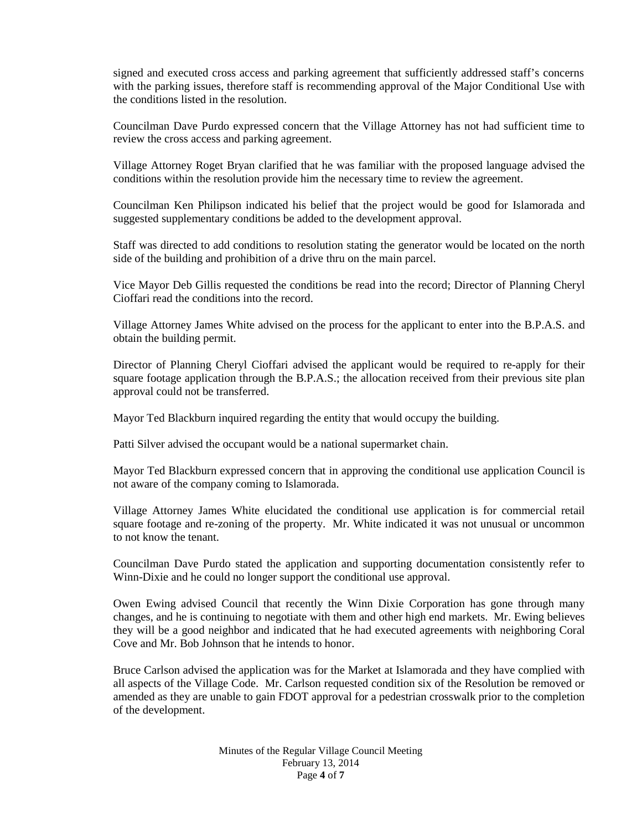signed and executed cross access and parking agreement that sufficiently addressed staff's concerns with the parking issues, therefore staff is recommending approval of the Major Conditional Use with the conditions listed in the resolution.

Councilman Dave Purdo expressed concern that the Village Attorney has not had sufficient time to review the cross access and parking agreement.

Village Attorney Roget Bryan clarified that he was familiar with the proposed language advised the conditions within the resolution provide him the necessary time to review the agreement.

Councilman Ken Philipson indicated his belief that the project would be good for Islamorada and suggested supplementary conditions be added to the development approval.

Staff was directed to add conditions to resolution stating the generator would be located on the north side of the building and prohibition of a drive thru on the main parcel.

Vice Mayor Deb Gillis requested the conditions be read into the record; Director of Planning Cheryl Cioffari read the conditions into the record.

Village Attorney James White advised on the process for the applicant to enter into the B.P.A.S. and obtain the building permit.

Director of Planning Cheryl Cioffari advised the applicant would be required to re-apply for their square footage application through the B.P.A.S.; the allocation received from their previous site plan approval could not be transferred.

Mayor Ted Blackburn inquired regarding the entity that would occupy the building.

Patti Silver advised the occupant would be a national supermarket chain.

Mayor Ted Blackburn expressed concern that in approving the conditional use application Council is not aware of the company coming to Islamorada.

Village Attorney James White elucidated the conditional use application is for commercial retail square footage and re-zoning of the property. Mr. White indicated it was not unusual or uncommon to not know the tenant.

Councilman Dave Purdo stated the application and supporting documentation consistently refer to Winn-Dixie and he could no longer support the conditional use approval.

Owen Ewing advised Council that recently the Winn Dixie Corporation has gone through many changes, and he is continuing to negotiate with them and other high end markets. Mr. Ewing believes they will be a good neighbor and indicated that he had executed agreements with neighboring Coral Cove and Mr. Bob Johnson that he intends to honor.

Bruce Carlson advised the application was for the Market at Islamorada and they have complied with all aspects of the Village Code. Mr. Carlson requested condition six of the Resolution be removed or amended as they are unable to gain FDOT approval for a pedestrian crosswalk prior to the completion of the development.

> Minutes of the Regular Village Council Meeting February 13, 2014 Page **4** of **7**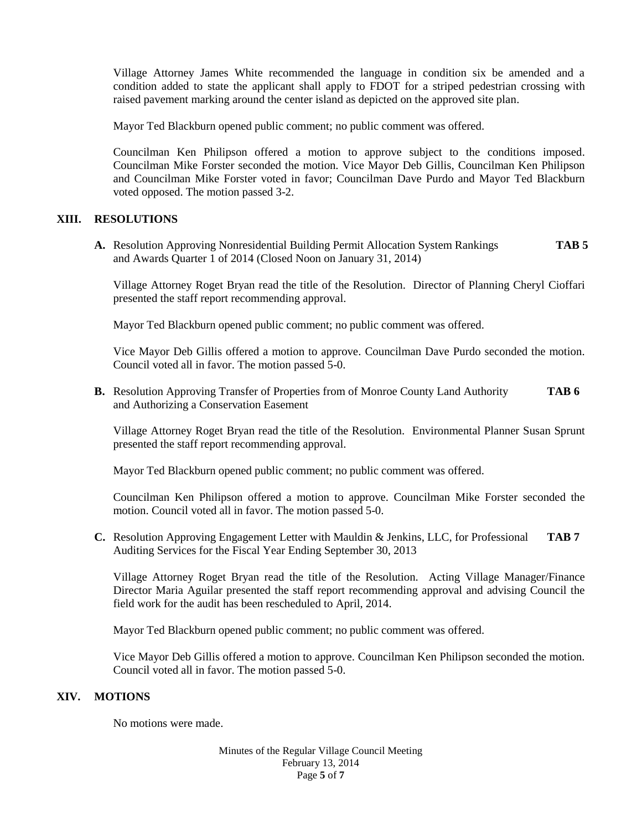Village Attorney James White recommended the language in condition six be amended and a condition added to state the applicant shall apply to FDOT for a striped pedestrian crossing with raised pavement marking around the center island as depicted on the approved site plan.

Mayor Ted Blackburn opened public comment; no public comment was offered.

Councilman Ken Philipson offered a motion to approve subject to the conditions imposed. Councilman Mike Forster seconded the motion. Vice Mayor Deb Gillis, Councilman Ken Philipson and Councilman Mike Forster voted in favor; Councilman Dave Purdo and Mayor Ted Blackburn voted opposed. The motion passed 3-2.

# **XIII. RESOLUTIONS**

**A.** Resolution Approving Nonresidential Building Permit Allocation System Rankings **TAB 5** and Awards Quarter 1 of 2014 (Closed Noon on January 31, 2014)

Village Attorney Roget Bryan read the title of the Resolution. Director of Planning Cheryl Cioffari presented the staff report recommending approval.

Mayor Ted Blackburn opened public comment; no public comment was offered.

Vice Mayor Deb Gillis offered a motion to approve. Councilman Dave Purdo seconded the motion. Council voted all in favor. The motion passed 5-0.

**B.** Resolution Approving Transfer of Properties from of Monroe County Land Authority **TAB 6** and Authorizing a Conservation Easement

Village Attorney Roget Bryan read the title of the Resolution. Environmental Planner Susan Sprunt presented the staff report recommending approval.

Mayor Ted Blackburn opened public comment; no public comment was offered.

Councilman Ken Philipson offered a motion to approve. Councilman Mike Forster seconded the motion. Council voted all in favor. The motion passed 5-0.

**C.** Resolution Approving Engagement Letter with Mauldin & Jenkins, LLC, for Professional **TAB 7** Auditing Services for the Fiscal Year Ending September 30, 2013

Village Attorney Roget Bryan read the title of the Resolution. Acting Village Manager/Finance Director Maria Aguilar presented the staff report recommending approval and advising Council the field work for the audit has been rescheduled to April, 2014.

Mayor Ted Blackburn opened public comment; no public comment was offered.

Vice Mayor Deb Gillis offered a motion to approve. Councilman Ken Philipson seconded the motion. Council voted all in favor. The motion passed 5-0.

### **XIV. MOTIONS**

No motions were made.

Minutes of the Regular Village Council Meeting February 13, 2014 Page **5** of **7**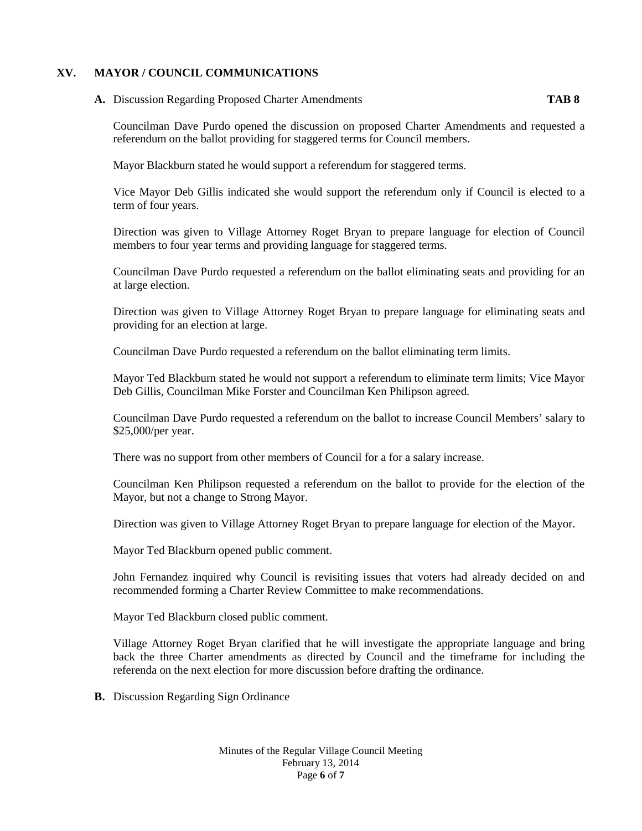### **XV. MAYOR / COUNCIL COMMUNICATIONS**

# **A.** Discussion Regarding Proposed Charter Amendments **TAB 8**

Councilman Dave Purdo opened the discussion on proposed Charter Amendments and requested a referendum on the ballot providing for staggered terms for Council members.

Mayor Blackburn stated he would support a referendum for staggered terms.

Vice Mayor Deb Gillis indicated she would support the referendum only if Council is elected to a term of four years.

Direction was given to Village Attorney Roget Bryan to prepare language for election of Council members to four year terms and providing language for staggered terms.

Councilman Dave Purdo requested a referendum on the ballot eliminating seats and providing for an at large election.

Direction was given to Village Attorney Roget Bryan to prepare language for eliminating seats and providing for an election at large.

Councilman Dave Purdo requested a referendum on the ballot eliminating term limits.

Mayor Ted Blackburn stated he would not support a referendum to eliminate term limits; Vice Mayor Deb Gillis, Councilman Mike Forster and Councilman Ken Philipson agreed.

Councilman Dave Purdo requested a referendum on the ballot to increase Council Members' salary to \$25,000/per year.

There was no support from other members of Council for a for a salary increase.

Councilman Ken Philipson requested a referendum on the ballot to provide for the election of the Mayor, but not a change to Strong Mayor.

Direction was given to Village Attorney Roget Bryan to prepare language for election of the Mayor.

Mayor Ted Blackburn opened public comment.

John Fernandez inquired why Council is revisiting issues that voters had already decided on and recommended forming a Charter Review Committee to make recommendations.

Mayor Ted Blackburn closed public comment.

Village Attorney Roget Bryan clarified that he will investigate the appropriate language and bring back the three Charter amendments as directed by Council and the timeframe for including the referenda on the next election for more discussion before drafting the ordinance.

**B.** Discussion Regarding Sign Ordinance

Minutes of the Regular Village Council Meeting February 13, 2014 Page **6** of **7**